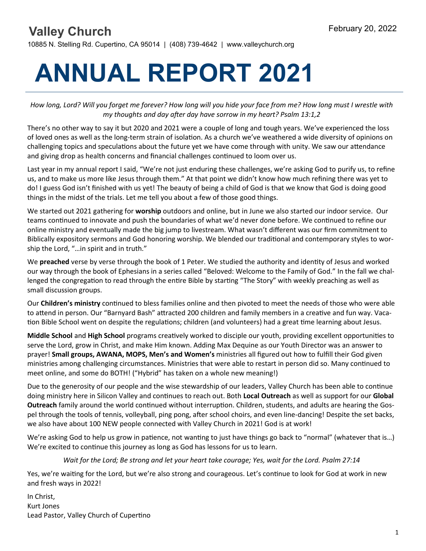### **Valley Church** February 20, 2022

10885 N. Stelling Rd. Cupertino, CA 95014 | (408) 739-4642 | www.valleychurch.org

# **ANNUAL REPORT 2021**

*How long, Lord? Will you forget me forever? How long will you hide your face from me? How long must I wrestle with my thoughts and day after day have sorrow in my heart? Psalm 13:1,2*

There's no other way to say it but 2020 and 2021 were a couple of long and tough years. We've experienced the loss of loved ones as well as the long-term strain of isolation. As a church we've weathered a wide diversity of opinions on challenging topics and speculations about the future yet we have come through with unity. We saw our attendance and giving drop as health concerns and financial challenges continued to loom over us.

Last year in my annual report I said, "We're not just enduring these challenges, we're asking God to purify us, to refine us, and to make us more like Jesus through them." At that point we didn't know how much refining there was yet to do! I guess God isn't finished with us yet! The beauty of being a child of God is that we know that God is doing good things in the midst of the trials. Let me tell you about a few of those good things.

We started out 2021 gathering for **worship** outdoors and online, but in June we also started our indoor service. Our teams continued to innovate and push the boundaries of what we'd never done before. We continued to refine our online ministry and eventually made the big jump to livestream. What wasn't different was our firm commitment to Biblically expository sermons and God honoring worship. We blended our traditional and contemporary styles to worship the Lord, "…in spirit and in truth."

We **preached** verse by verse through the book of 1 Peter. We studied the authority and identity of Jesus and worked our way through the book of Ephesians in a series called "Beloved: Welcome to the Family of God." In the fall we challenged the congregation to read through the entire Bible by starting "The Story" with weekly preaching as well as small discussion groups.

Our **Children's ministry** continued to bless families online and then pivoted to meet the needs of those who were able to attend in person. Our "Barnyard Bash" attracted 200 children and family members in a creative and fun way. Vacation Bible School went on despite the regulations; children (and volunteers) had a great time learning about Jesus.

**Middle School** and **High School** programs creatively worked to disciple our youth, providing excellent opportunities to serve the Lord, grow in Christ, and make Him known. Adding Max Dequine as our Youth Director was an answer to prayer! **Small groups, AWANA, MOPS, Men's and Women's** ministries all figured out how to fulfill their God given ministries among challenging circumstances. Ministries that were able to restart in person did so. Many continued to meet online, and some do BOTH! ("Hybrid" has taken on a whole new meaning!)

Due to the generosity of our people and the wise stewardship of our leaders, Valley Church has been able to continue doing ministry here in Silicon Valley and continues to reach out. Both **Local Outreach** as well as support for our **Global Outreach** family around the world continued without interruption. Children, students, and adults are hearing the Gospel through the tools of tennis, volleyball, ping pong, after school choirs, and even line-dancing! Despite the set backs, we also have about 100 NEW people connected with Valley Church in 2021! God is at work!

We're asking God to help us grow in patience, not wanting to just have things go back to "normal" (whatever that is…) We're excited to continue this journey as long as God has lessons for us to learn.

*Wait for the Lord; Be strong and let your heart take courage; Yes, wait for the Lord. Psalm 27:14*

Yes, we're waiting for the Lord, but we're also strong and courageous. Let's continue to look for God at work in new and fresh ways in 2022!

In Christ, Kurt Jones Lead Pastor, Valley Church of Cupertino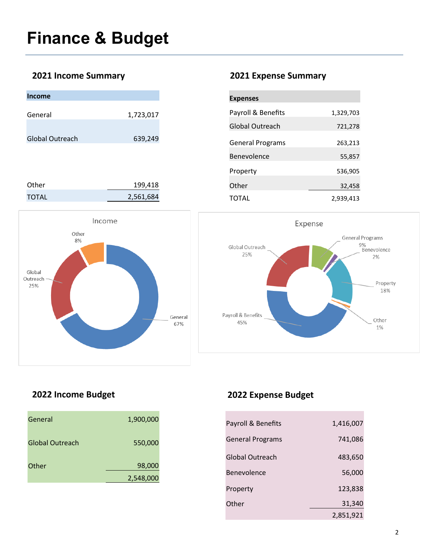#### **2021 Income Summary 2021 Expense Summary**

| <b>Income</b>          |           |
|------------------------|-----------|
| General                | 1,723,017 |
| <b>Global Outreach</b> | 639,249   |
|                        |           |
| Other                  | 199,418   |

TOTAL 2,561,684



| <b>Expenses</b>         |           |
|-------------------------|-----------|
| Payroll & Benefits      | 1,329,703 |
| Global Outreach         | 721,278   |
| <b>General Programs</b> | 263,213   |
| Benevolence             | 55,857    |
| Property                | 536,905   |
| Other                   | 32,458    |
| TOTAL                   | 2,939,413 |



### **2022 Income Budget 2022 Expense Budget**

| General         | 1,900,000 |  |
|-----------------|-----------|--|
| Global Outreach | 550,000   |  |
| Other           | 98,000    |  |
|                 | 2,548,000 |  |

| Payroll & Benefits      | 1,416,007 |
|-------------------------|-----------|
| <b>General Programs</b> | 741,086   |
| Global Outreach         | 483,650   |
| <b>Benevolence</b>      | 56,000    |
| Property                | 123,838   |
| Other                   | 31,340    |
|                         | 2,851,921 |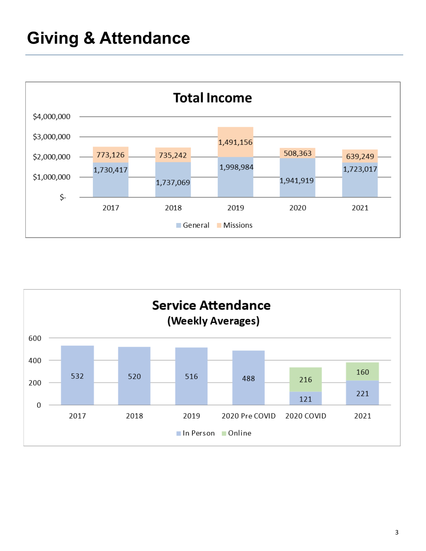## **Giving & Attendance**



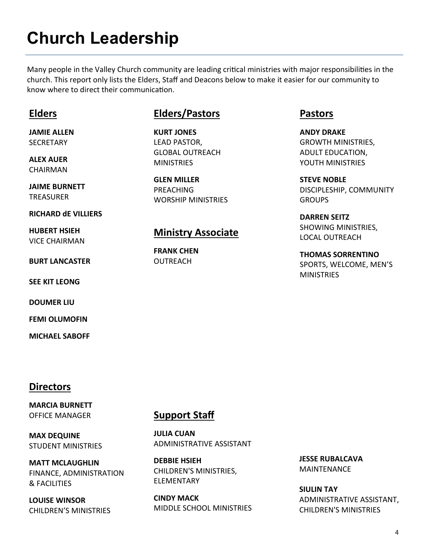## **Church Leadership**

Many people in the Valley Church community are leading critical ministries with major responsibilities in the church. This report only lists the Elders, Staff and Deacons below to make it easier for our community to know where to direct their communication.

#### **Elders**

**JAMIE ALLEN** SECRETARY

**ALEX AUER** CHAIRMAN

**JAIME BURNETT TREASURER** 

**RICHARD dE VILLIERS** 

**HUBERT HSIEH**  VICE CHAIRMAN

**BURT LANCASTER** 

**SEE KIT LEONG** 

**DOUMER LIU**

**FEMI OLUMOFIN** 

**MICHAEL SABOFF** 

### **Elders/Pastors**

**KURT JONES**  LEAD PASTOR, GLOBAL OUTREACH **MINISTRIES** 

**GLEN MILLER**  PREACHING WORSHIP MINISTRIES

#### **Ministry Associate**

**FRANK CHEN OUTREACH** 

#### **Pastors**

**ANDY DRAKE**  GROWTH MINISTRIES, ADULT EDUCATION, YOUTH MINISTRIES

**STEVE NOBLE**  DISCIPLESHIP, COMMUNITY **GROUPS** 

**DARREN SEITZ**  SHOWING MINISTRIES, LOCAL OUTREACH

**THOMAS SORRENTINO**  SPORTS, WELCOME, MEN'S **MINISTRIES** 

#### **Directors**

**MARCIA BURNETT**  OFFICE MANAGER

**MAX DEQUINE** STUDENT MINISTRIES

**MATT MCLAUGHLIN**  FINANCE, ADMINISTRATION & FACILITIES

**LOUISE WINSOR** CHILDREN'S MINISTRIES

#### **Support Staff**

**JULIA CUAN**  ADMINISTRATIVE ASSISTANT

**DEBBIE HSIEH**  CHILDREN'S MINISTRIES, ELEMENTARY

**CINDY MACK** MIDDLE SCHOOL MINISTRIES **JESSE RUBALCAVA**  MAINTENANCE

**SIULIN TAY**  ADMINISTRATIVE ASSISTANT, CHILDREN'S MINISTRIES